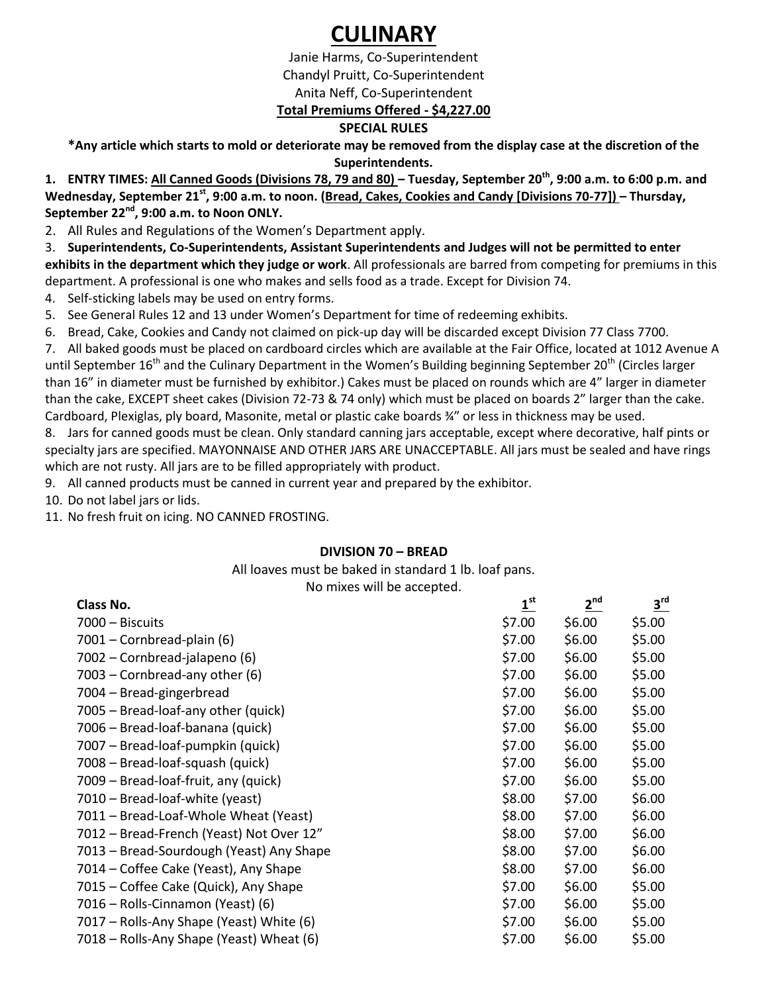# **CULINARY**

Janie Harms, Co-Superintendent Chandyl Pruitt, Co-Superintendent Anita Neff, Co-Superintendent **Total Premiums Offered - \$4,227.00**

# **SPECIAL RULES**

**\*Any article which starts to mold or deteriorate may be removed from the display case at the discretion of the Superintendents.** 

**1. ENTRY TIMES: All Canned Goods (Divisions 78, 79 and 80) – Tuesday, September 20th, 9:00 a.m. to 6:00 p.m. and Wednesday, September 21st, 9:00 a.m. to noon. (Bread, Cakes, Cookies and Candy [Divisions 70-77]) – Thursday, September 22nd, 9:00 a.m. to Noon ONLY.** 

2. All Rules and Regulations of the Women's Department apply.

3. **Superintendents, Co-Superintendents, Assistant Superintendents and Judges will not be permitted to enter exhibits in the department which they judge or work**. All professionals are barred from competing for premiums in this

department. A professional is one who makes and sells food as a trade. Except for Division 74.

4. Self-sticking labels may be used on entry forms.

5. See General Rules 12 and 13 under Women's Department for time of redeeming exhibits.

6. Bread, Cake, Cookies and Candy not claimed on pick-up day will be discarded except Division 77 Class 7700.

7. All baked goods must be placed on cardboard circles which are available at the Fair Office, located at 1012 Avenue A until September 16<sup>th</sup> and the Culinary Department in the Women's Building beginning September 20<sup>th</sup> (Circles larger than 16" in diameter must be furnished by exhibitor.) Cakes must be placed on rounds which are 4" larger in diameter than the cake, EXCEPT sheet cakes (Division 72-73 & 74 only) which must be placed on boards 2" larger than the cake. Cardboard, Plexiglas, ply board, Masonite, metal or plastic cake boards ¾" or less in thickness may be used.

8. Jars for canned goods must be clean. Only standard canning jars acceptable, except where decorative, half pints or specialty jars are specified. MAYONNAISE AND OTHER JARS ARE UNACCEPTABLE. All jars must be sealed and have rings which are not rusty. All jars are to be filled appropriately with product.

9. All canned products must be canned in current year and prepared by the exhibitor.

10. Do not label jars or lids.

11. No fresh fruit on icing. NO CANNED FROSTING.

# **DIVISION 70 – BREAD**

All loaves must be baked in standard 1 lb. loaf pans.

No mixes will be accepted.

| Class No.                                | $1^{\text{st}}$ | $2^{\text{nd}}$ | 3 <sup>rd</sup> |
|------------------------------------------|-----------------|-----------------|-----------------|
| 7000 - Biscuits                          | \$7.00          | \$6.00          | \$5.00          |
| 7001 - Cornbread-plain (6)               | \$7.00          | \$6.00          | \$5.00          |
| 7002 – Cornbread-jalapeno (6)            | \$7.00          | \$6.00          | \$5.00          |
| 7003 – Cornbread-any other (6)           | \$7.00          | \$6.00          | \$5.00          |
| 7004 - Bread-gingerbread                 | \$7.00          | \$6.00          | \$5.00          |
| 7005 – Bread-loaf-any other (quick)      | \$7.00          | \$6.00          | \$5.00          |
| 7006 - Bread-loaf-banana (quick)         | \$7.00          | \$6.00          | \$5.00          |
| 7007 - Bread-loaf-pumpkin (quick)        | \$7.00          | \$6.00          | \$5.00          |
| 7008 - Bread-loaf-squash (quick)         | \$7.00          | \$6.00          | \$5.00          |
| 7009 - Bread-loaf-fruit, any (quick)     | \$7.00          | \$6.00          | \$5.00          |
| 7010 - Bread-loaf-white (yeast)          | \$8.00          | \$7.00          | \$6.00          |
| 7011 – Bread-Loaf-Whole Wheat (Yeast)    | \$8.00          | \$7.00          | \$6.00          |
| 7012 – Bread-French (Yeast) Not Over 12" | \$8.00          | \$7.00          | \$6.00          |
| 7013 – Bread-Sourdough (Yeast) Any Shape | \$8.00          | \$7.00          | \$6.00          |
| 7014 - Coffee Cake (Yeast), Any Shape    | \$8.00          | \$7.00          | \$6.00          |
| 7015 – Coffee Cake (Quick), Any Shape    | \$7.00          | \$6.00          | \$5.00          |
| 7016 – Rolls-Cinnamon (Yeast) (6)        | \$7.00          | \$6.00          | \$5.00          |
| 7017 – Rolls-Any Shape (Yeast) White (6) | \$7.00          | \$6.00          | \$5.00          |
| 7018 – Rolls-Any Shape (Yeast) Wheat (6) | \$7.00          | \$6.00          | \$5.00          |
|                                          |                 |                 |                 |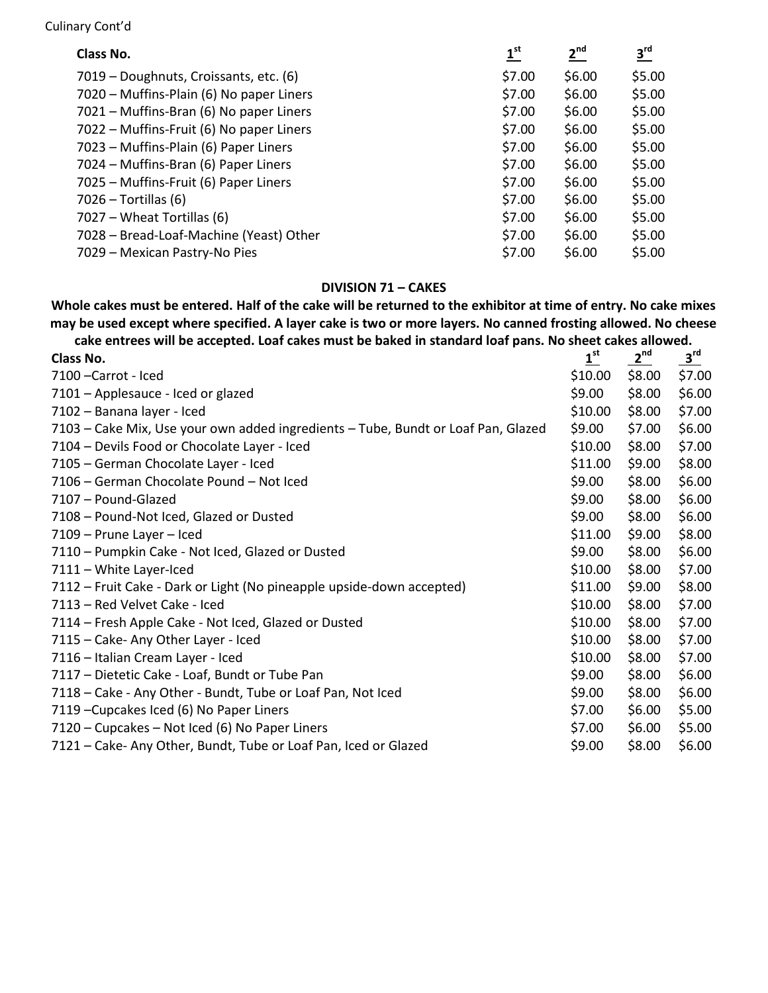#### Culinary Cont'd

| Class No.                                | $\mathbf{1}^{\text{st}}$ | $2^{nd}$ | $3^{\text{rd}}$ |
|------------------------------------------|--------------------------|----------|-----------------|
| 7019 – Doughnuts, Croissants, etc. (6)   | \$7.00                   | \$6.00   | \$5.00          |
| 7020 – Muffins-Plain (6) No paper Liners | \$7.00                   | \$6.00   | \$5.00          |
| 7021 - Muffins-Bran (6) No paper Liners  | \$7.00                   | \$6.00   | \$5.00          |
| 7022 - Muffins-Fruit (6) No paper Liners | \$7.00                   | \$6.00   | \$5.00          |
| 7023 - Muffins-Plain (6) Paper Liners    | \$7.00                   | \$6.00   | \$5.00          |
| 7024 – Muffins-Bran (6) Paper Liners     | \$7.00                   | \$6.00   | \$5.00          |
| 7025 - Muffins-Fruit (6) Paper Liners    | \$7.00                   | \$6.00   | \$5.00          |
| $7026 - Tortillas (6)$                   | \$7.00                   | \$6.00   | \$5.00          |
| 7027 – Wheat Tortillas (6)               | \$7.00                   | \$6.00   | \$5.00          |
| 7028 - Bread-Loaf-Machine (Yeast) Other  | \$7.00                   | \$6.00   | \$5.00          |
| 7029 – Mexican Pastry-No Pies            | \$7.00                   | \$6.00   | \$5.00          |

# **DIVISION 71 – CAKES**

**Whole cakes must be entered. Half of the cake will be returned to the exhibitor at time of entry. No cake mixes may be used except where specified. A layer cake is two or more layers. No canned frosting allowed. No cheese cake entrees will be accepted. Loaf cakes must be baked in standard loaf pans. No sheet cakes allowed.** 

| cand different local conditions in the candy many candy in the call and pairs. The silect cands allowed. |                 |                 |                 |
|----------------------------------------------------------------------------------------------------------|-----------------|-----------------|-----------------|
| Class No.                                                                                                | $1^{\text{st}}$ | 2 <sup>nd</sup> | 3 <sup>rd</sup> |
| 7100 - Carrot - Iced                                                                                     | \$10.00         | \$8.00          | \$7.00          |
| 7101 - Applesauce - Iced or glazed                                                                       | \$9.00          | \$8.00          | \$6.00          |
| 7102 - Banana layer - Iced                                                                               | \$10.00         | \$8.00          | \$7.00          |
| 7103 – Cake Mix, Use your own added ingredients – Tube, Bundt or Loaf Pan, Glazed                        | \$9.00          | \$7.00          | \$6.00          |
| 7104 - Devils Food or Chocolate Layer - Iced                                                             | \$10.00         | \$8.00          | \$7.00          |
| 7105 - German Chocolate Layer - Iced                                                                     | \$11.00         | \$9.00          | \$8.00          |
| 7106 - German Chocolate Pound - Not Iced                                                                 | \$9.00          | \$8.00          | \$6.00          |
| 7107 - Pound-Glazed                                                                                      | \$9.00          | \$8.00          | \$6.00          |
| 7108 - Pound-Not Iced, Glazed or Dusted                                                                  | \$9.00          | \$8.00          | \$6.00          |
| 7109 - Prune Layer - Iced                                                                                | \$11.00         | \$9.00          | \$8.00          |
| 7110 - Pumpkin Cake - Not Iced, Glazed or Dusted                                                         | \$9.00          | \$8.00          | \$6.00          |
| 7111 - White Layer-Iced                                                                                  | \$10.00         | \$8.00          | \$7.00          |
| 7112 - Fruit Cake - Dark or Light (No pineapple upside-down accepted)                                    | \$11.00         | \$9.00          | \$8.00          |
| 7113 - Red Velvet Cake - Iced                                                                            | \$10.00         | \$8.00          | \$7.00          |
| 7114 - Fresh Apple Cake - Not Iced, Glazed or Dusted                                                     | \$10.00         | \$8.00          | \$7.00          |
| 7115 - Cake- Any Other Layer - Iced                                                                      | \$10.00         | \$8.00          | \$7.00          |
| 7116 - Italian Cream Layer - Iced                                                                        | \$10.00         | \$8.00          | \$7.00          |
| 7117 - Dietetic Cake - Loaf, Bundt or Tube Pan                                                           | \$9.00          | \$8.00          | \$6.00          |
| 7118 - Cake - Any Other - Bundt, Tube or Loaf Pan, Not Iced                                              | \$9.00          | \$8.00          | \$6.00          |
| 7119 - Cupcakes Iced (6) No Paper Liners                                                                 | \$7.00          | \$6.00          | \$5.00          |
| 7120 - Cupcakes - Not Iced (6) No Paper Liners                                                           | \$7.00          | \$6.00          | \$5.00          |
| 7121 - Cake- Any Other, Bundt, Tube or Loaf Pan, Iced or Glazed                                          | \$9.00          | \$8.00          | \$6.00          |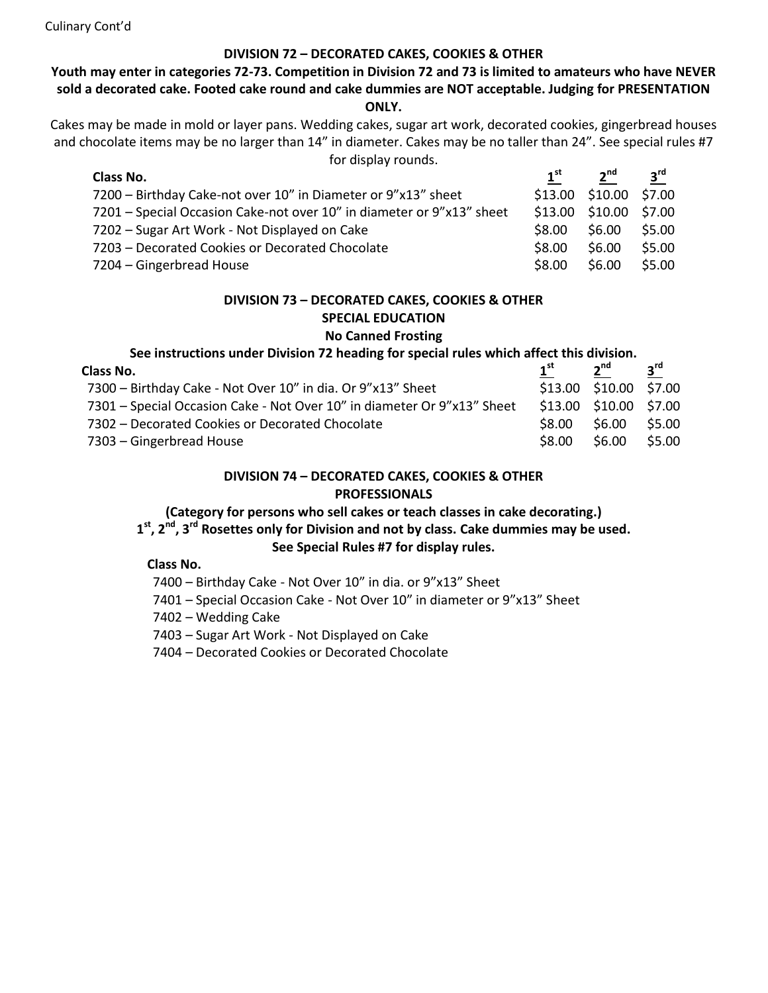Culinary Cont'd

## **DIVISION 72 – DECORATED CAKES, COOKIES & OTHER**

## **Youth may enter in categories 72-73. Competition in Division 72 and 73 is limited to amateurs who have NEVER sold a decorated cake. Footed cake round and cake dummies are NOT acceptable. Judging for PRESENTATION ONLY.**

Cakes may be made in mold or layer pans. Wedding cakes, sugar art work, decorated cookies, gingerbread houses and chocolate items may be no larger than 14" in diameter. Cakes may be no taller than 24". See special rules #7 for display rounds.

| Class No.                                                             | $1^{\rm st}$ | 2 <sup>nd</sup>        | $3^{\text{rd}}$ |
|-----------------------------------------------------------------------|--------------|------------------------|-----------------|
| 7200 – Birthday Cake-not over 10" in Diameter or 9"x13" sheet         |              | \$13.00 \$10.00 \$7.00 |                 |
| 7201 – Special Occasion Cake-not over 10" in diameter or 9"x13" sheet |              | \$13.00 \$10.00 \$7.00 |                 |
| 7202 – Sugar Art Work - Not Displayed on Cake                         | \$8.00       | \$6.00                 | \$5.00          |
| 7203 - Decorated Cookies or Decorated Chocolate                       | \$8.00       | \$6.00                 | \$5.00          |
| 7204 – Gingerbread House                                              | \$8.00       | \$6.00                 | \$5.00          |

# **DIVISION 73 – DECORATED CAKES, COOKIES & OTHER SPECIAL EDUCATION**

## **No Canned Frosting**

| See instructions under Division 72 heading for special rules which affect this division. |                 |                        |                 |
|------------------------------------------------------------------------------------------|-----------------|------------------------|-----------------|
| Class No.                                                                                | 1 <sup>st</sup> | 2 <sup>nd</sup>        | $3^{\text{rd}}$ |
| 7300 - Birthday Cake - Not Over 10" in dia. Or 9"x13" Sheet                              |                 | \$13.00 \$10.00 \$7.00 |                 |
| 7301 – Special Occasion Cake - Not Over 10" in diameter Or 9"x13" Sheet                  |                 | \$13.00 \$10.00 \$7.00 |                 |
| 7302 - Decorated Cookies or Decorated Chocolate                                          | \$8.00          | \$6.00                 | \$5.00          |
| 7303 – Gingerbread House                                                                 | \$8.00          | \$6.00                 | \$5.00          |

## **DIVISION 74 – DECORATED CAKES, COOKIES & OTHER PROFESSIONALS**

## **(Category for persons who sell cakes or teach classes in cake decorating.)**

# **1 st, 2nd, 3rd Rosettes only for Division and not by class. Cake dummies may be used.**

# **See Special Rules #7 for display rules.**

#### **Class No.**

- 7400 Birthday Cake Not Over 10" in dia. or 9"x13" Sheet
- 7401 Special Occasion Cake Not Over 10" in diameter or 9"x13" Sheet
- 7402 Wedding Cake
- 7403 Sugar Art Work Not Displayed on Cake
- 7404 Decorated Cookies or Decorated Chocolate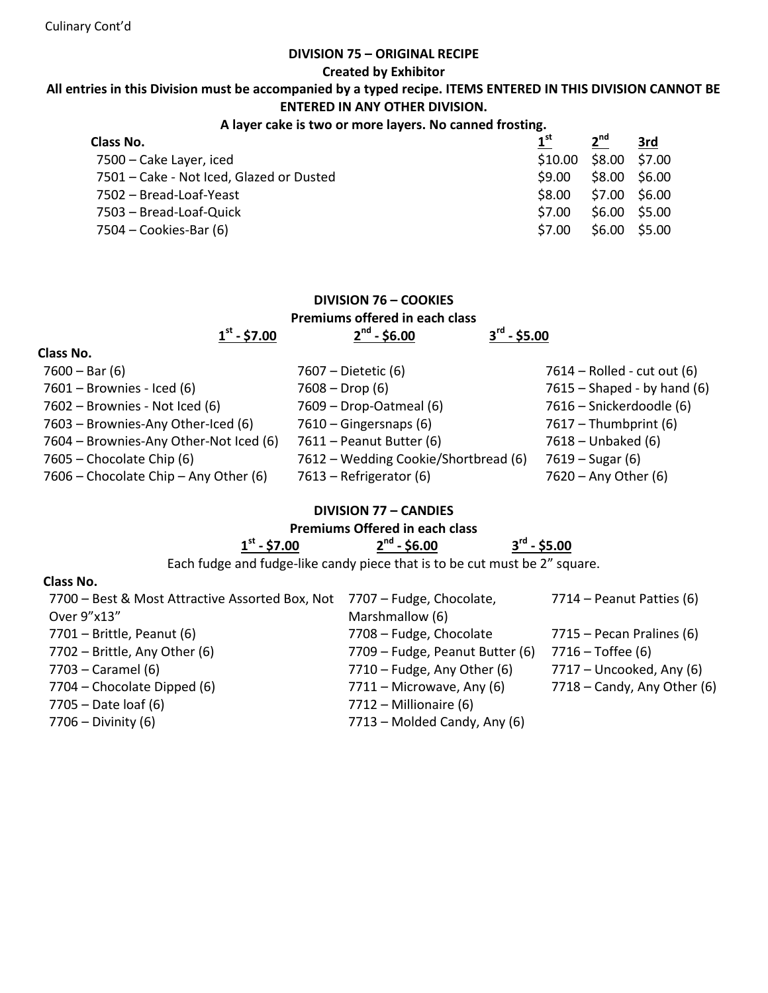#### **DIVISION 75 – ORIGINAL RECIPE**

**Created by Exhibitor**

## **All entries in this Division must be accompanied by a typed recipe. ITEMS ENTERED IN THIS DIVISION CANNOT BE ENTERED IN ANY OTHER DIVISION.**

#### **A layer cake is two or more layers. No canned frosting.**

| $1^{\rm st}$ | 2 <sup>nd</sup> | 3rd                            |
|--------------|-----------------|--------------------------------|
| \$10.00      |                 |                                |
| \$9.00       | \$8.00 \$6.00   |                                |
| \$8.00       |                 |                                |
| \$7.00       | \$6.00 \$5.00   |                                |
| \$7.00       | \$6.00 \$5.00   |                                |
|              |                 | \$8.00 \$7.00<br>\$7.00 \$6.00 |

| <b>DIVISION 76 - COOKIES</b><br>Premiums offered in each class |                                      |
|----------------------------------------------------------------|--------------------------------------|
| $2^{nd}$ - \$6.00                                              | $3^{\text{rd}}$ - \$5.00             |
|                                                                |                                      |
| 7607 – Dietetic (6)                                            | 7614 – Rolled - cut out (6)          |
| $7608 - Drop(6)$                                               | $7615$ – Shaped - by hand (6)        |
| 7609 - Drop-Oatmeal (6)                                        | 7616 – Snickerdoodle (6)             |
| $7610 - Gingersnaps (6)$                                       | $7617 - Thumbprint(6)$               |
| 7611 – Peanut Butter (6)                                       | $7618 - Unbaked (6)$                 |
|                                                                | $7619 - Sugar(6)$                    |
| 7613 – Refrigerator (6)                                        | 7620 - Any Other (6)                 |
|                                                                | 7612 – Wedding Cookie/Shortbread (6) |

## **DIVISION 77 – CANDIES**

# **Premiums Offered in each class**

| ⊿ st<br>$-57.00$<br>л. |  |
|------------------------|--|
|                        |  |

**nd - \$6.00 3 rd - \$5.00**

Each fudge and fudge-like candy piece that is to be cut must be 2" square.

# **Class No.**

| 7700 – Best & Most Attractive Assorted Box, Not 7707 – Fudge, Chocolate, |                                 | $7714$ – Peanut Patties (6)   |
|--------------------------------------------------------------------------|---------------------------------|-------------------------------|
| Over 9"x13"                                                              | Marshmallow (6)                 |                               |
| $7701 -$ Brittle, Peanut (6)                                             | 7708 - Fudge, Chocolate         | $7715$ – Pecan Pralines (6)   |
| $7702$ – Brittle, Any Other (6)                                          | 7709 – Fudge, Peanut Butter (6) | $7716 - Toffee (6)$           |
| 7703 – Caramel (6)                                                       | $7710$ – Fudge, Any Other (6)   | $7717$ – Uncooked, Any (6)    |
| 7704 – Chocolate Dipped (6)                                              | $7711 -$ Microwave, Any (6)     | $7718 -$ Candy, Any Other (6) |
| $7705 - Date$ loaf (6)                                                   | $7712$ – Millionaire (6)        |                               |
| $7706 - Divinity(6)$                                                     | 7713 - Molded Candy, Any (6)    |                               |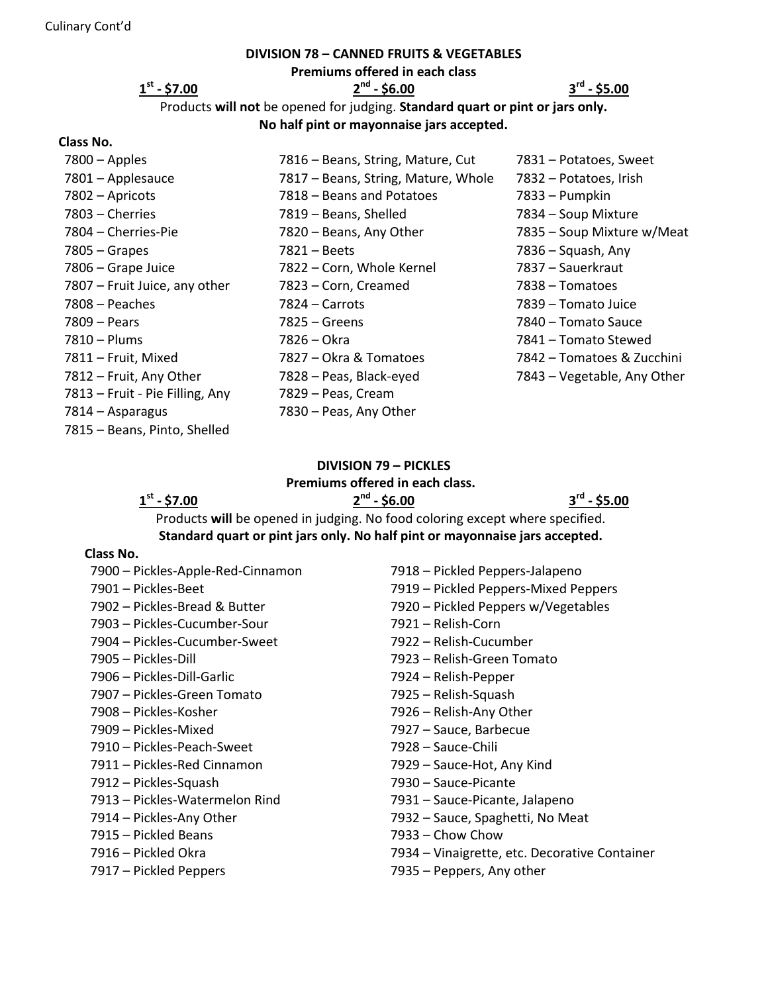#### **DIVISION 78 – CANNED FRUITS & VEGETABLES**

**Premiums offered in each class**

**st - \$7.00 2**

# **nd - \$6.00 3**

**rd - \$5.00**

Products **will not** be opened for judging. **Standard quart or pint or jars only. No half pint or mayonnaise jars accepted.**

#### **Class No.**

| $7800 -$ Apples                 | 7816 – Beans, String, Mature, Cut   | 7831 - Potatoes, Sweet      |
|---------------------------------|-------------------------------------|-----------------------------|
| 7801 - Applesauce               | 7817 – Beans, String, Mature, Whole | 7832 - Potatoes, Irish      |
| 7802 - Apricots                 | 7818 - Beans and Potatoes           | 7833 – Pumpkin              |
| 7803 - Cherries                 | 7819 - Beans, Shelled               | 7834 - Soup Mixture         |
| 7804 - Cherries-Pie             | 7820 - Beans, Any Other             | 7835 - Soup Mixture w/Meat  |
| $7805 -$ Grapes                 | 7821 – Beets                        | $7836 - Squash, Any$        |
| 7806 - Grape Juice              | 7822 – Corn, Whole Kernel           | 7837 – Sauerkraut           |
| 7807 – Fruit Juice, any other   | 7823 - Corn, Creamed                | 7838 – Tomatoes             |
| $7808 - Peaches$                | 7824 – Carrots                      | 7839 – Tomato Juice         |
| 7809 – Pears                    | $7825 -$ Greens                     | 7840 – Tomato Sauce         |
| 7810 – Plums                    | 7826 – Okra                         | 7841 – Tomato Stewed        |
| 7811 - Fruit, Mixed             | 7827 - Okra & Tomatoes              | 7842 - Tomatoes & Zucchini  |
| 7812 - Fruit, Any Other         | 7828 - Peas, Black-eyed             | 7843 - Vegetable, Any Other |
| 7813 – Fruit - Pie Filling, Any | 7829 - Peas, Cream                  |                             |
| 7814 – Asparagus                | 7830 - Peas, Any Other              |                             |
| 7815 - Beans, Pinto, Shelled    |                                     |                             |

# **DIVISION 79 – PICKLES**

#### **Premiums offered in each class.**

**st - \$7.00 2**

**nd - \$6.00 3**

**rd - \$5.00**

Products **will** be opened in judging. No food coloring except where specified. **Standard quart or pint jars only. No half pint or mayonnaise jars accepted.**

#### **Class No.**

- 
- 
- Pickles-Cucumber-Sweet 7922 Relish-Cucumber
- 
- Pickles-Dill-Garlic 7924 Relish-Pepper
- Pickles-Green Tomato 7925 Relish-Squash
- 
- 
- Pickles-Peach-Sweet 7928 Sauce-Chili
- Pickles-Red Cinnamon 7929 Sauce-Hot, Any Kind
- Pickles-Squash 7930 Sauce-Picante
- Pickles-Watermelon Rind 7931 Sauce-Picante, Jalapeno
- 
- Pickled Beans 7933 Chow Chow
- 
- 
- Pickles-Apple-Red-Cinnamon 7918 Pickled Peppers-Jalapeno – Pickles-Beet 7919 – Pickled Peppers-Mixed Peppers – Pickles-Bread & Butter 7920 – Pickled Peppers w/Vegetables – Pickles-Cucumber-Sour 7921 – Relish-Corn – Pickles-Dill 7923 – Relish-Green Tomato – Pickles-Kosher 7926 – Relish-Any Other – Pickles-Mixed 7927 – Sauce, Barbecue – Pickles-Any Other 7932 – Sauce, Spaghetti, No Meat – Pickled Okra 7934 – Vinaigrette, etc. Decorative Container – Pickled Peppers 7935 – Peppers, Any other